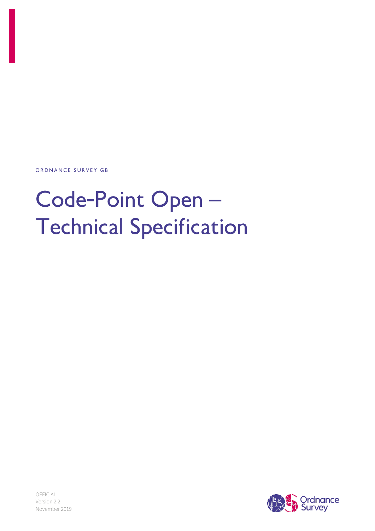ORDNANCE SURVEY GB

# Code-Point Open-**Technical Specification**

OFFICIAL Version 2.2 November 2019

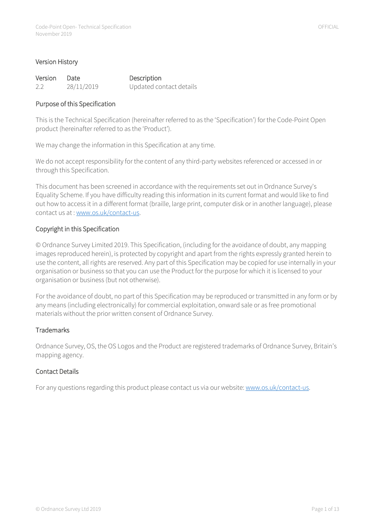| Version Date |            | Description             |
|--------------|------------|-------------------------|
| 2.2          | 28/11/2019 | Updated contact details |

#### Purpose of this Specification

This is the Technical Specification (hereinafter referred to as the 'Specification') for the Code-Point Open product (hereinafter referred to as the 'Product').

We may change the information in this Specification at any time.

We do not accept responsibility for the content of any third-party websites referenced or accessed in or through this Specification.

This document has been screened in accordance with the requirements set out in Ordnance Survey's Equality Scheme. If you have difficulty reading this information in its current format and would like to find out how to access it in a different format (braille, large print, computer disk or in another language), please contact us at : [www.os.uk/contact-us.](http://www.os.uk/contact-us)

#### Copyright in this Specification

© Ordnance Survey Limited 2019. This Specification, (including for the avoidance of doubt, any mapping images reproduced herein), is protected by copyright and apart from the rights expressly granted herein to use the content, all rights are reserved. Any part of this Specification may be copied for use internally in your organisation or business so that you can use the Product for the purpose for which it is licensed to your organisation or business (but not otherwise).

For the avoidance of doubt, no part of this Specification may be reproduced or transmitted in any form or by any means (including electronically) for commercial exploitation, onward sale or as free promotional materials without the prior written consent of Ordnance Survey.

#### **Trademarks**

Ordnance Survey, OS, the OS Logos and the Product are registered trademarks of Ordnance Survey, Britain's mapping agency.

#### <span id="page-1-0"></span>Contact Details

For any questions regarding this product please contact us via our website[: www.os.uk/contact-us.](http://www.os.uk/contact-us)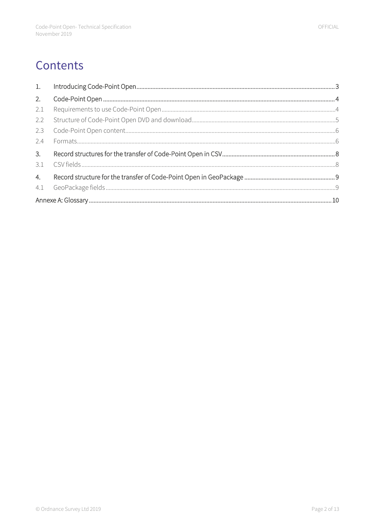# Contents

| 2.  |  |
|-----|--|
| 2.1 |  |
| 2.2 |  |
| 2.3 |  |
| 2.4 |  |
| 3.  |  |
|     |  |
| 4.  |  |
|     |  |
|     |  |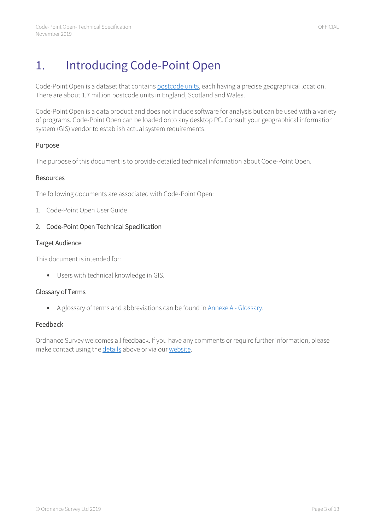# <span id="page-3-0"></span>1. Introducing Code-Point Open

Code-Point Open is a dataset that contain[s postcode units,](#page-13-0) each having a precise geographical location. There are about 1.7 million postcode units in England, Scotland and Wales.

Code-Point Open is a data product and does not include software for analysis but can be used with a variety of programs. Code-Point Open can be loaded onto any desktop PC. Consult your geographical information system (GIS) vendor to establish actual system requirements.

#### Purpose

The purpose of this document is to provide detailed technical information about Code-Point Open.

#### Resources

The following documents are associated with Code-Point Open:

1. Code-Point Open User Guide

#### 2. Code-Point Open Technical Specification

#### Target Audience

This document is intended for:

• Users with technical knowledge in GIS.

#### Glossary of Terms

• A glossary of terms and abbreviations can be found in Annexe A - [Glossary.](#page-10-0)

#### Feedback

Ordnance Survey welcomes all feedback. If you have any comments or require further information, please make contact using the [details](#page-1-0) above or via ou[r website.](https://www.ordnancesurvey.co.uk/forms/contact-form-secure)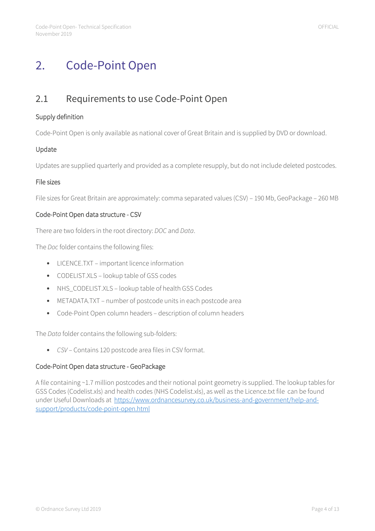## <span id="page-4-0"></span>2. Code-Point Open

### <span id="page-4-1"></span>2.1 Requirements to use Code-Point Open

#### Supply definition

Code-Point Open is only available as national cover of Great Britain and is supplied by DVD or download.

#### Update

Updates are supplied quarterly and provided as a complete resupply, but do not include deleted postcodes.

#### File sizes

File sizes for Great Britain are approximately: comma separated values (CSV) – 190 Mb, GeoPackage – 260 MB

#### Code-Point Open data structure - CSV

There are two folders in the root directory: *DOC* and *Data*.

The *Doc* folder contains the following files:

- LICENCE.TXT important licence information
- CODELIST.XLS lookup table of GSS codes
- NHS\_CODELIST.XLS lookup table of health GSS Codes
- METADATA.TXT number of postcode units in each postcode area
- Code-Point Open column headers description of column headers

The *Data* folder contains the following sub-folders:

• *CSV* – Contains 120 postcode area files in CSV format.

#### Code-Point Open data structure - GeoPackage

A file containing ~1.7 million postcodes and their notional point geometry is supplied. The lookup tables for GSS Codes (Codelist.xls) and health codes (NHS Codelist.xls), as well as the Licence.txt file can be found under Useful Downloads at [https://www.ordnancesurvey.co.uk/business-and-government/help-and](https://www.ordnancesurvey.co.uk/business-and-government/help-and-support/products/code-point-open.html)[support/products/code-point-open.html](https://www.ordnancesurvey.co.uk/business-and-government/help-and-support/products/code-point-open.html)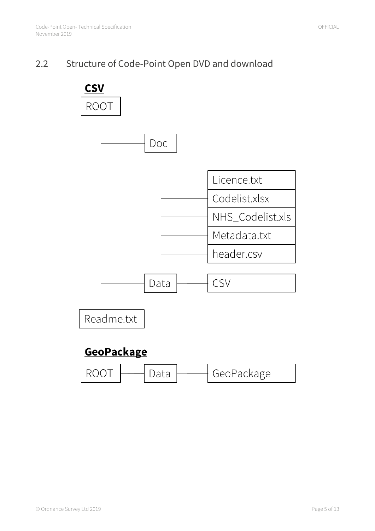### <span id="page-5-0"></span>2.2 Structure of Code-Point Open DVD and download

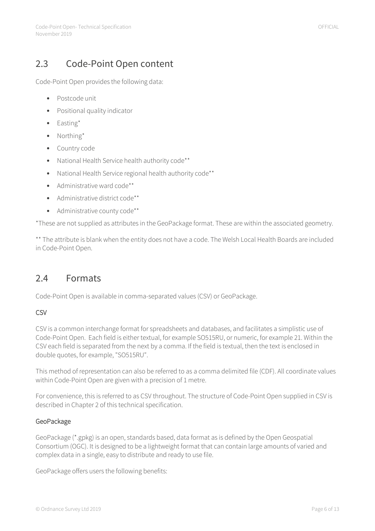### <span id="page-6-0"></span>2.3 Code-Point Open content

Code-Point Open provides the following data:

- Postcode unit
- Positional quality indicator
- Easting\*
- Northing\*
- Country code
- National Health Service health authority code\*\*
- National Health Service regional health authority code\*\*
- Administrative ward code\*\*
- Administrative district code\*\*
- Administrative county code\*\*

\*These are not supplied as attributes in the GeoPackage format. These are within the associated geometry.

\*\* The attribute is blank when the entity does not have a code. The Welsh Local Health Boards are included in Code-Point Open.

### <span id="page-6-1"></span>2.4 Formats

Code-Point Open is available in comma-separated values (CSV) or GeoPackage.

#### **CSV**

CSV is a common interchange format for spreadsheets and databases, and facilitates a simplistic use of Code-Point Open. Each field is either textual, for example SO515RU, or numeric, for example 21. Within the CSV each field is separated from the next by a comma. If the field is textual, then the text is enclosed in double quotes, for example, "SO515RU".

This method of representation can also be referred to as a comma delimited file (CDF). All coordinate values within Code-Point Open are given with a precision of 1 metre.

For convenience, this is referred to as CSV throughout. The structure of Code-Point Open supplied in CSV is described in Chapter 2 of this technical specification.

#### GeoPackage

GeoPackage (\*.gpkg) is an open, standards based, data format as is defined by the Open Geospatial Consortium (OGC). It is designed to be a lightweight format that can contain large amounts of varied and complex data in a single, easy to distribute and ready to use file.

GeoPackage offers users the following benefits: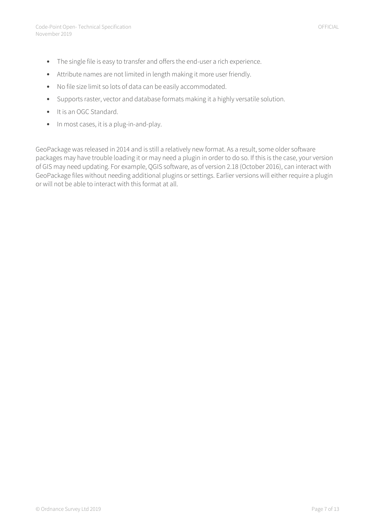- The single file is easy to transfer and offers the end-user a rich experience.
- Attribute names are not limited in length making it more user friendly.
- No file size limit so lots of data can be easily accommodated.
- Supports raster, vector and database formats making it a highly versatile solution.
- It is an OGC Standard.
- In most cases, it is a plug-in-and-play.

GeoPackage was released in 2014 and is still a relatively new format. As a result, some older software packages may have trouble loading it or may need a plugin in order to do so. If this is the case, your version of GIS may need updating. For example, QGIS software, as of version 2.18 (October 2016), can interact with GeoPackage files without needing additional plugins or settings. Earlier versions will either require a plugin or will not be able to interact with this format at all.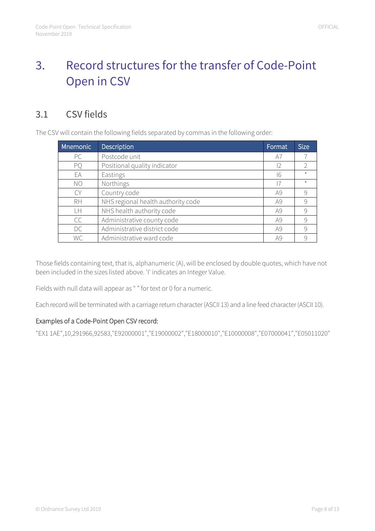# <span id="page-8-0"></span>3. Record structures for the transfer of Code-Point Open in CSV

### <span id="page-8-1"></span>3.1 CSV fields

The CSV will contain the following fields separated by commas in the following order:

| <b>Mnemonic</b> | Description                        | Format | <b>Size</b>   |
|-----------------|------------------------------------|--------|---------------|
| <b>PC</b>       | Postcode unit                      | A7     |               |
| PQ              | Positional quality indicator       | 12     | $\mathcal{P}$ |
| EA              | Eastings                           | 16     | $\star$       |
| <b>NO</b>       | Northings                          |        | $\star$       |
| C.Y             | Country code                       | A9     | 9             |
| <b>RH</b>       | NHS regional health authority code | A9     | 9             |
| LH              | NHS health authority code          | A9     | 9             |
| <b>CC</b>       | Administrative county code         | A9     | 9             |
| DC              | Administrative district code       | A9     | 9             |
| <b>WC</b>       | Administrative ward code           | A9     | 9             |

Those fields containing text, that is, alphanumeric (A), will be enclosed by double quotes, which have not been included in the sizes listed above. 'I' indicates an Integer Value.

Fields with null data will appear as "" for text or 0 for a numeric.

Each record will be terminated with a carriage return character (ASCII 13) and a line feed character (ASCII 10).

#### Examples of a Code-Point Open CSV record:

"EX1 1AE",10,291966,92583,"E92000001","E19000002","E18000010","E10000008","E07000041","E05011020"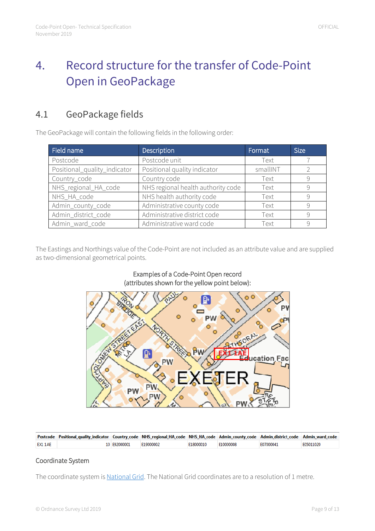# <span id="page-9-0"></span>4. Record structure for the transfer of Code-Point Open in GeoPackage

### <span id="page-9-1"></span>4.1 GeoPackage fields

The GeoPackage will contain the following fields in the following order:

| Field name                   | Description                        | Format   | <b>Size</b>   |
|------------------------------|------------------------------------|----------|---------------|
| Postcode                     | Postcode unit                      | Text     |               |
| Positional_quality_indicator | Positional quality indicator       | smallINT | $\mathcal{D}$ |
| Country_code                 | Country code                       | Text     | 9             |
| NHS_regional_HA_code         | NHS regional health authority code | Text     | 9             |
| NHS_HA_code                  | NHS health authority code          | Text     | $\mathcal{Q}$ |
| Admin_county_code            | Administrative county code         | Text     | 9             |
| Admin_district_code          | Administrative district code       | Text     | 9             |
| Admin_ward_code              | Administrative ward code           | Text     | $\mathsf{Q}$  |

The Eastings and Northings value of the Code-Point are not included as an attribute value and are supplied as two-dimensional geometrical points.

#### Examples of a Code-Point Open record (attributes shown for the yellow point below):



|        | Postcode Positional_quality_indicator Country_code NHS_regional_HA_code NHS_HA_code Admin_county_code Admin_district_code Admin_ward_code |              |           |           |           |           |           |
|--------|-------------------------------------------------------------------------------------------------------------------------------------------|--------------|-----------|-----------|-----------|-----------|-----------|
| EX11AE |                                                                                                                                           | 10 F92000001 | E19000002 | E18000010 | E10000008 | F07000041 | F05011020 |

#### Coordinate System

The coordinate system i[s National Grid.](#page-11-0) The National Grid coordinates are to a resolution of 1 metre.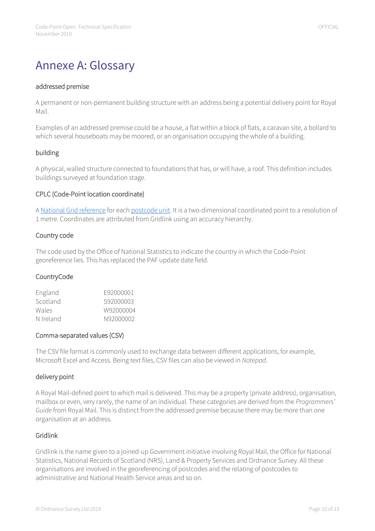# <span id="page-10-0"></span>Annexe A: Glossary

#### addressed premise

A permanent or non-permanent building structure with an address being a potential delivery point for Royal Mail.

Examples of an addressed premise could be a house, a flat within a block of flats, a caravan site, a bollard to which several houseboats may be moored, or an organisation occupying the whole of a building.

#### building

A physical, walled structure connected to foundations that has, or will have, a roof. This definition includes buildings surveyed at foundation stage.

#### <span id="page-10-1"></span>CPLC (Code-Point location coordinate)

[A National Grid reference](#page-11-1) for eac[h postcode unit.](#page-13-0) It is a two-dimensional coordinated point to a resolution of 1 metre. Coordinates are attributed from Gridlink using an accuracy hierarchy.

#### Country code

The code used by the Office of National Statistics to indicate the country in which the Code-Point georeference lies. This has replaced the PAF update date field.

#### **Country Code**

| F92000001 |
|-----------|
| S92000003 |
| W92000004 |
| N92000002 |
|           |

#### Comma-separated values (CSV)

The CSV file format is commonly used to exchange data between different applications, for example, Microsoft Excel and Access. Being text files, CSV files can also be viewed in *Notepad*.

#### delivery point

A Royal Mail-defined point to which mail is delivered. This may be a property (private address), organisation, mailbox or even, very rarely, the name of an individual. These categories are derived from the *Programmers' Guide* from Royal Mail. This is distinct from the addressed premise because there may be more than one organisation at an address.

#### Gridlink

Gridlink is the name given to a joined-up Government initiative involving Royal Mail, the Office for National Statistics, National Records of Scotland (NRS), Land & Property Services and Ordnance Survey. All these organisations are involved in the georeferencing of postcodes and the relating of postcodes to administrative and National Health Service areas and so on.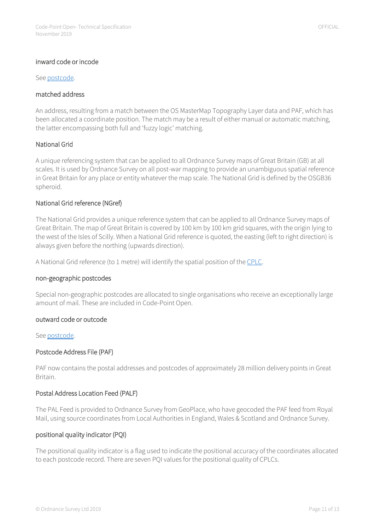#### inward code or incode

Se[e postcode.](#page-12-0)

#### matched address

An address, resulting from a match between the OS MasterMap Topography Layer data and PAF, which has been allocated a coordinate position. The match may be a result of either manual or automatic matching, the latter encompassing both full and 'fuzzy logic' matching.

#### <span id="page-11-0"></span>National Grid

A unique referencing system that can be applied to all Ordnance Survey maps of Great Britain (GB) at all scales. It is used by Ordnance Survey on all post-war mapping to provide an unambiguous spatial reference in Great Britain for any place or entity whatever the map scale. The National Grid is defined by the OSGB36 spheroid.

#### <span id="page-11-1"></span>National Grid reference (NGref)

The National Grid provides a unique reference system that can be applied to all Ordnance Survey maps of Great Britain. The map of Great Britain is covered by 100 km by 100 km grid squares, with the origin lying to the west of the Isles of Scilly. When a National Grid reference is quoted, the easting (left to right direction) is always given before the northing (upwards direction).

A National Grid reference (to 1 metre) will identify the spatial position of th[e CPLC.](#page-10-1)

#### non-geographic postcodes

Special non-geographic postcodes are allocated to single organisations who receive an exceptionally large amount of mail. These are included in Code-Point Open.

#### outward code or outcode

See [postcode.](#page-12-0)

#### Postcode Address File (PAF)

PAF now contains the postal addresses and postcodes of approximately 28 million delivery points in Great Britain.

#### Postal Address Location Feed (PALF)

The PAL Feed is provided to Ordnance Survey from GeoPlace, who have geocoded the PAF feed from Royal Mail, using source coordinates from Local Authorities in England, Wales & Scotland and Ordnance Survey.

#### positional quality indicator (PQI)

The positional quality indicator is a flag used to indicate the positional accuracy of the coordinates allocated to each postcode record. There are seven PQI values for the positional quality of CPLCs.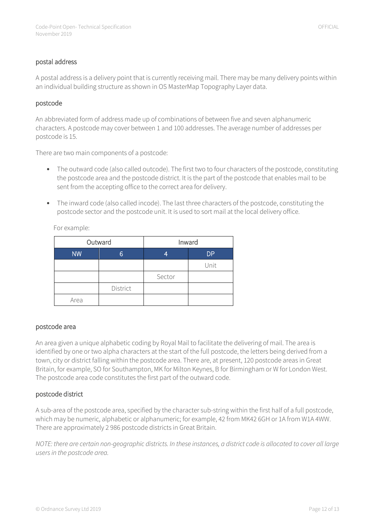#### postal address

A postal address is a delivery point that is currently receiving mail. There may be many delivery points within an individual building structure as shown in OS MasterMap Topography Layer data.

#### <span id="page-12-0"></span>postcode

An abbreviated form of address made up of combinations of between five and seven alphanumeric characters. A postcode may cover between 1 and 100 addresses. The average number of addresses per postcode is 15.

There are two main components of a postcode:

- The outward code (also called outcode). The first two to four characters of the postcode, constituting the postcode area and the postcode district. It is the part of the postcode that enables mail to be sent from the accepting office to the correct area for delivery.
- The inward code (also called incode). The last three characters of the postcode, constituting the postcode sector and the postcode unit. It is used to sort mail at the local delivery office.

For example:

|           | Outward  | Inward |           |  |
|-----------|----------|--------|-----------|--|
| <b>NW</b> | 6        | 4      | <b>DP</b> |  |
|           |          |        | Unit      |  |
|           |          | Sector |           |  |
|           | District |        |           |  |
| Area      |          |        |           |  |

#### postcode area

An area given a unique alphabetic coding by Royal Mail to facilitate the delivering of mail. The area is identified by one or two alpha characters at the start of the full postcode, the letters being derived from a town, city or district falling within the postcode area. There are, at present, 120 postcode areas in Great Britain, for example, SO for Southampton, MK for Milton Keynes, B for Birmingham or W for London West. The postcode area code constitutes the first part of the outward code.

#### postcode district

A sub-area of the postcode area, specified by the character sub-string within the first half of a full postcode, which may be numeric, alphabetic or alphanumeric; for example, 42 from MK42 6GH or 1A from W1A 4WW. There are approximately 2 986 postcode districts in Great Britain.

*NOTE: there are certain non-geographic districts. In these instances, a district code is allocated to cover all large users in the postcode area.*